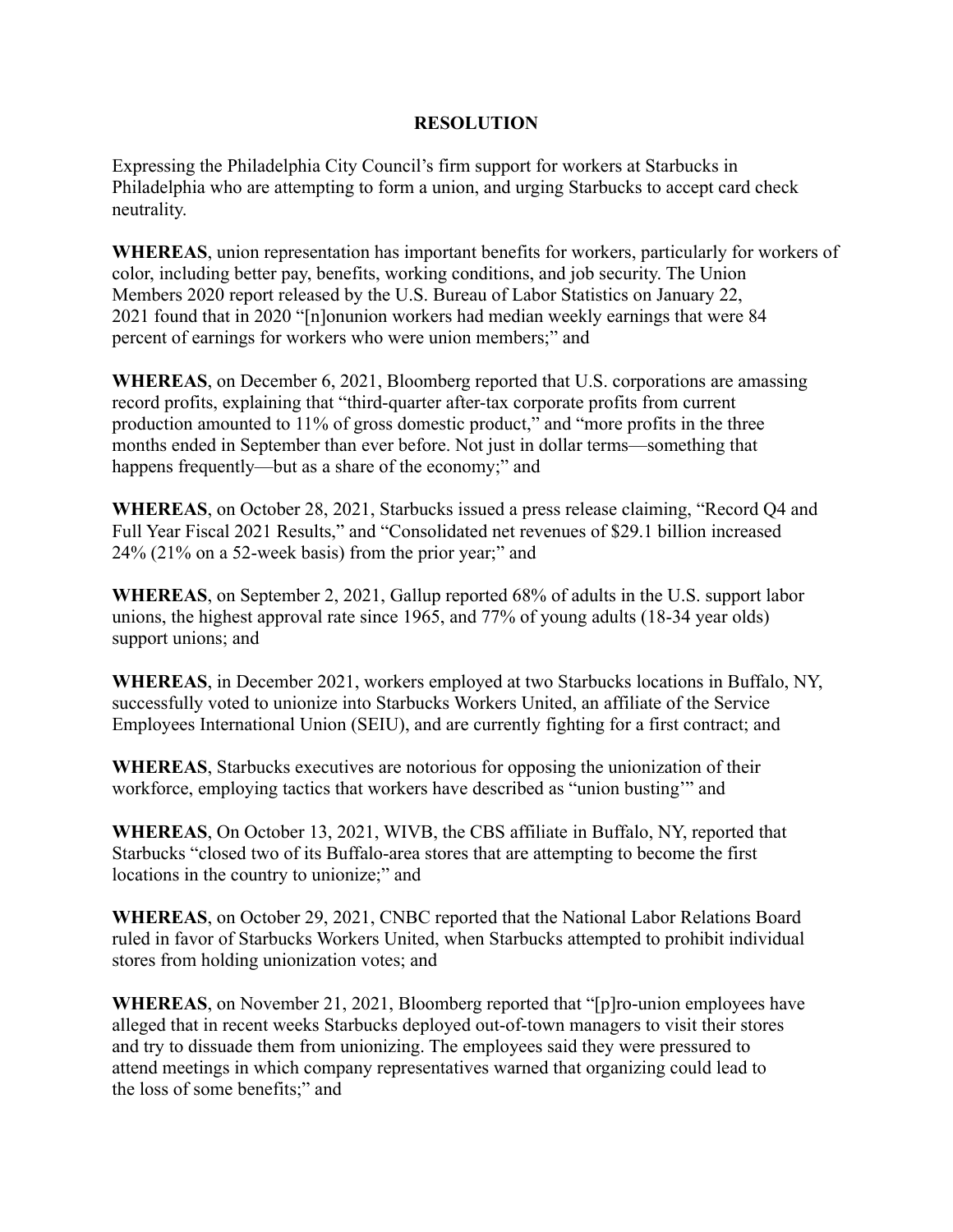## **RESOLUTION**

Expressing the Philadelphia City Council's firm support for workers at Starbucks in Philadelphia who are attempting to form a union, and urging Starbucks to accept card check neutrality.

**WHEREAS**, union representation has important benefits for workers, particularly for workers of color, including better pay, benefits, working conditions, and job security. The Union Members 2020 report released by the U.S. Bureau of Labor Statistics on January 22, 2021 found that in 2020 "[n]onunion workers had median weekly earnings that were 84 percent of earnings for workers who were union members;" and

**WHEREAS**, on December 6, 2021, Bloomberg reported that U.S. corporations are amassing record profits, explaining that "third-quarter after-tax corporate profits from current production amounted to 11% of gross domestic product," and "more profits in the three months ended in September than ever before. Not just in dollar terms—something that happens frequently—but as a share of the economy;" and

**WHEREAS**, on October 28, 2021, Starbucks issued a press release claiming, "Record Q4 and Full Year Fiscal 2021 Results," and "Consolidated net revenues of \$29.1 billion increased 24% (21% on a 52-week basis) from the prior year;" and

**WHEREAS**, on September 2, 2021, Gallup reported 68% of adults in the U.S. support labor unions, the highest approval rate since 1965, and 77% of young adults (18-34 year olds) support unions; and

**WHEREAS**, in December 2021, workers employed at two Starbucks locations in Buffalo, NY, successfully voted to unionize into Starbucks Workers United, an affiliate of the Service Employees International Union (SEIU), and are currently fighting for a first contract; and

**WHEREAS**, Starbucks executives are notorious for opposing the unionization of their workforce, employing tactics that workers have described as "union busting'" and

**WHEREAS**, On October 13, 2021, WIVB, the CBS affiliate in Buffalo, NY, reported that Starbucks "closed two of its Buffalo-area stores that are attempting to become the first locations in the country to unionize;" and

**WHEREAS**, on October 29, 2021, CNBC reported that the National Labor Relations Board ruled in favor of Starbucks Workers United, when Starbucks attempted to prohibit individual stores from holding unionization votes; and

**WHEREAS**, on November 21, 2021, Bloomberg reported that "[p]ro-union employees have alleged that in recent weeks Starbucks deployed out-of-town managers to visit their stores and try to dissuade them from unionizing. The employees said they were pressured to attend meetings in which company representatives warned that organizing could lead to the loss of some benefits;" and